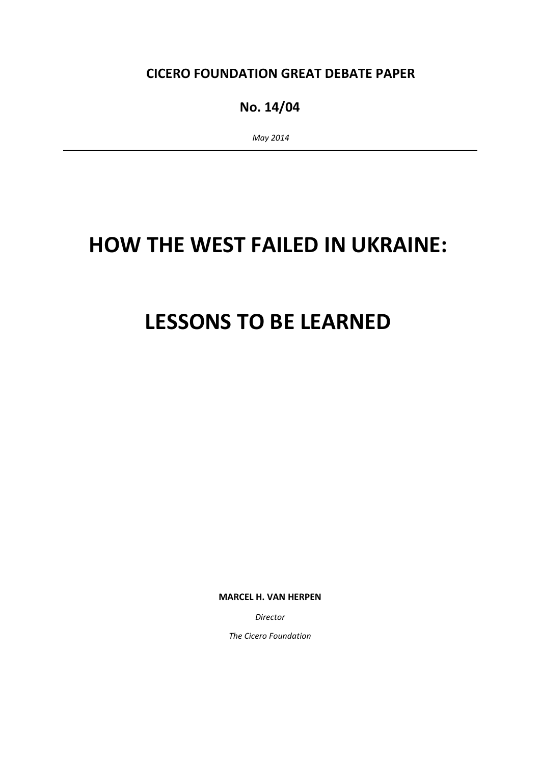# CICERO FOUNDATION GREAT DEBATE PAPER

# No. 14/04

May 2014

# HOW THE WEST FAILED IN UKRAINE:

# LESSONS TO BE LEARNED

MARCEL H. VAN HERPEN

Director

The Cicero Foundation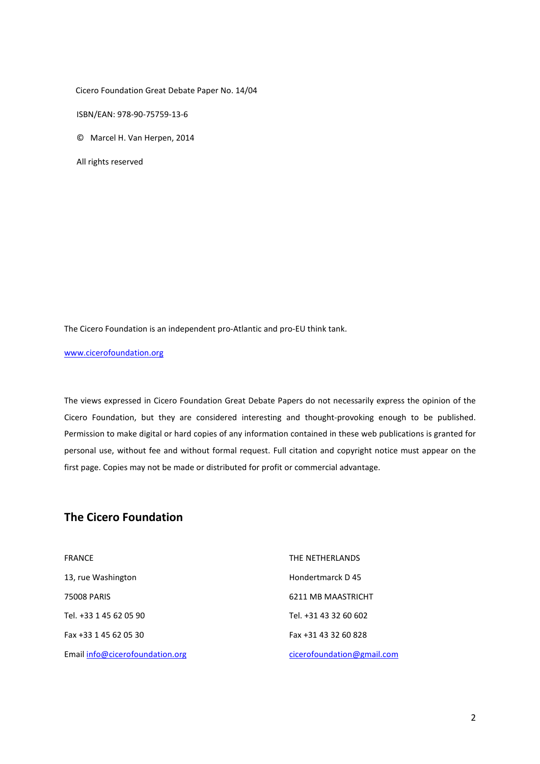Cicero Foundation Great Debate Paper No. 14/04

ISBN/EAN: 978-90-75759-13-6

© Marcel H. Van Herpen, 2014

All rights reserved

The Cicero Foundation is an independent pro-Atlantic and pro-EU think tank.

www.cicerofoundation.org

The views expressed in Cicero Foundation Great Debate Papers do not necessarily express the opinion of the Cicero Foundation, but they are considered interesting and thought-provoking enough to be published. Permission to make digital or hard copies of any information contained in these web publications is granted for personal use, without fee and without formal request. Full citation and copyright notice must appear on the first page. Copies may not be made or distributed for profit or commercial advantage.

## The Cicero Foundation

| <b>FRANCE</b>                   | THE NETHERLANDS            |
|---------------------------------|----------------------------|
| 13, rue Washington              | Hondertmarck D45           |
| 75008 PARIS                     | 6211 MB MAASTRICHT         |
| Tel. +33 1 45 62 05 90          | Tel. +31 43 32 60 602      |
| Fax +33 1 45 62 05 30           | Fax +31 43 32 60 828       |
| Email info@cicerofoundation.org | cicerofoundation@gmail.com |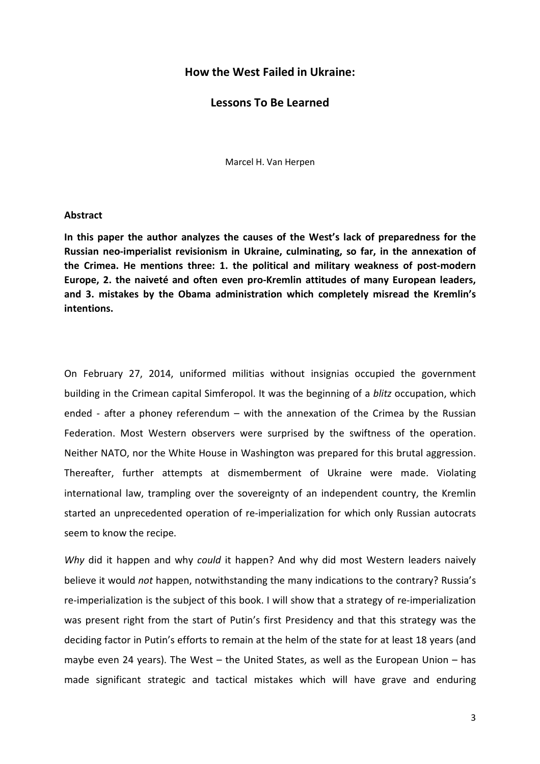## How the West Failed in Ukraine:

### Lessons To Be Learned

Marcel H. Van Herpen

#### Abstract

In this paper the author analyzes the causes of the West's lack of preparedness for the Russian neo-imperialist revisionism in Ukraine, culminating, so far, in the annexation of the Crimea. He mentions three: 1. the political and military weakness of post-modern Europe, 2. the naiveté and often even pro-Kremlin attitudes of many European leaders, and 3. mistakes by the Obama administration which completely misread the Kremlin's intentions.

On February 27, 2014, uniformed militias without insignias occupied the government building in the Crimean capital Simferopol. It was the beginning of a *blitz* occupation, which ended - after a phoney referendum – with the annexation of the Crimea by the Russian Federation. Most Western observers were surprised by the swiftness of the operation. Neither NATO, nor the White House in Washington was prepared for this brutal aggression. Thereafter, further attempts at dismemberment of Ukraine were made. Violating international law, trampling over the sovereignty of an independent country, the Kremlin started an unprecedented operation of re-imperialization for which only Russian autocrats seem to know the recipe.

Why did it happen and why could it happen? And why did most Western leaders naively believe it would not happen, notwithstanding the many indications to the contrary? Russia's re-imperialization is the subject of this book. I will show that a strategy of re-imperialization was present right from the start of Putin's first Presidency and that this strategy was the deciding factor in Putin's efforts to remain at the helm of the state for at least 18 years (and maybe even 24 years). The West – the United States, as well as the European Union – has made significant strategic and tactical mistakes which will have grave and enduring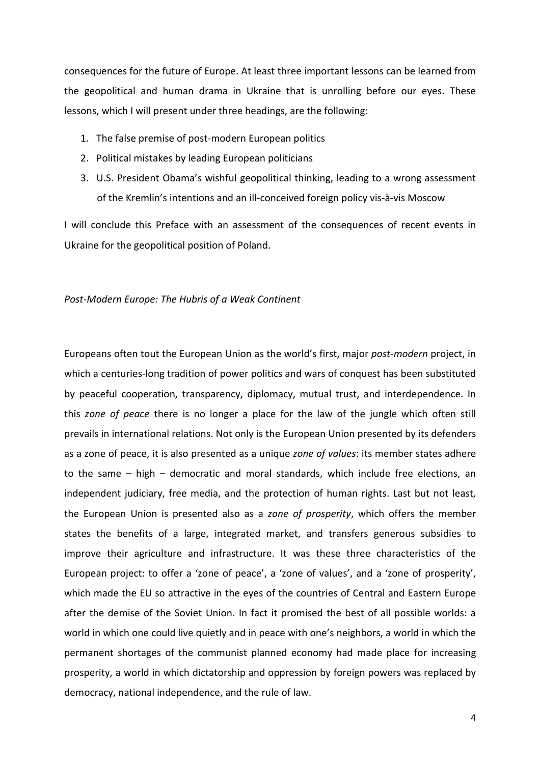consequences for the future of Europe. At least three important lessons can be learned from the geopolitical and human drama in Ukraine that is unrolling before our eyes. These lessons, which I will present under three headings, are the following:

- 1. The false premise of post-modern European politics
- 2. Political mistakes by leading European politicians
- 3. U.S. President Obama's wishful geopolitical thinking, leading to a wrong assessment of the Kremlin's intentions and an ill-conceived foreign policy vis-à-vis Moscow

I will conclude this Preface with an assessment of the consequences of recent events in Ukraine for the geopolitical position of Poland.

#### Post-Modern Europe: The Hubris of a Weak Continent

Europeans often tout the European Union as the world's first, major post-modern project, in which a centuries-long tradition of power politics and wars of conquest has been substituted by peaceful cooperation, transparency, diplomacy, mutual trust, and interdependence. In this zone of peace there is no longer a place for the law of the jungle which often still prevails in international relations. Not only is the European Union presented by its defenders as a zone of peace, it is also presented as a unique zone of values: its member states adhere to the same – high – democratic and moral standards, which include free elections, an independent judiciary, free media, and the protection of human rights. Last but not least, the European Union is presented also as a zone of prosperity, which offers the member states the benefits of a large, integrated market, and transfers generous subsidies to improve their agriculture and infrastructure. It was these three characteristics of the European project: to offer a 'zone of peace', a 'zone of values', and a 'zone of prosperity', which made the EU so attractive in the eyes of the countries of Central and Eastern Europe after the demise of the Soviet Union. In fact it promised the best of all possible worlds: a world in which one could live quietly and in peace with one's neighbors, a world in which the permanent shortages of the communist planned economy had made place for increasing prosperity, a world in which dictatorship and oppression by foreign powers was replaced by democracy, national independence, and the rule of law.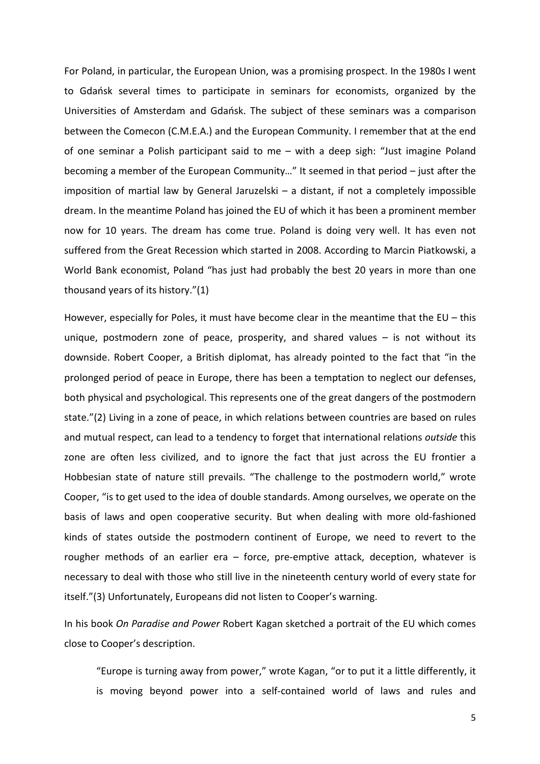For Poland, in particular, the European Union, was a promising prospect. In the 1980s I went to Gdańsk several times to participate in seminars for economists, organized by the Universities of Amsterdam and Gdańsk. The subject of these seminars was a comparison between the Comecon (C.M.E.A.) and the European Community. I remember that at the end of one seminar a Polish participant said to me – with a deep sigh: "Just imagine Poland becoming a member of the European Community…" It seemed in that period – just after the imposition of martial law by General Jaruzelski – a distant, if not a completely impossible dream. In the meantime Poland has joined the EU of which it has been a prominent member now for 10 years. The dream has come true. Poland is doing very well. It has even not suffered from the Great Recession which started in 2008. According to Marcin Piatkowski, a World Bank economist, Poland "has just had probably the best 20 years in more than one thousand years of its history."(1)

However, especially for Poles, it must have become clear in the meantime that the EU – this unique, postmodern zone of peace, prosperity, and shared values – is not without its downside. Robert Cooper, a British diplomat, has already pointed to the fact that "in the prolonged period of peace in Europe, there has been a temptation to neglect our defenses, both physical and psychological. This represents one of the great dangers of the postmodern state."(2) Living in a zone of peace, in which relations between countries are based on rules and mutual respect, can lead to a tendency to forget that international relations outside this zone are often less civilized, and to ignore the fact that just across the EU frontier a Hobbesian state of nature still prevails. "The challenge to the postmodern world," wrote Cooper, "is to get used to the idea of double standards. Among ourselves, we operate on the basis of laws and open cooperative security. But when dealing with more old-fashioned kinds of states outside the postmodern continent of Europe, we need to revert to the rougher methods of an earlier era – force, pre-emptive attack, deception, whatever is necessary to deal with those who still live in the nineteenth century world of every state for itself."(3) Unfortunately, Europeans did not listen to Cooper's warning.

In his book On Paradise and Power Robert Kagan sketched a portrait of the EU which comes close to Cooper's description.

"Europe is turning away from power," wrote Kagan, "or to put it a little differently, it is moving beyond power into a self-contained world of laws and rules and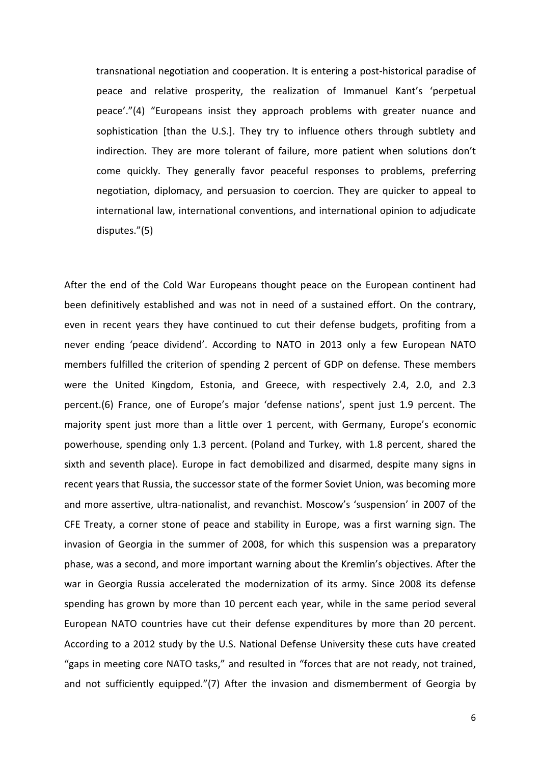transnational negotiation and cooperation. It is entering a post-historical paradise of peace and relative prosperity, the realization of Immanuel Kant's 'perpetual peace'."(4) "Europeans insist they approach problems with greater nuance and sophistication [than the U.S.]. They try to influence others through subtlety and indirection. They are more tolerant of failure, more patient when solutions don't come quickly. They generally favor peaceful responses to problems, preferring negotiation, diplomacy, and persuasion to coercion. They are quicker to appeal to international law, international conventions, and international opinion to adjudicate disputes."(5)

After the end of the Cold War Europeans thought peace on the European continent had been definitively established and was not in need of a sustained effort. On the contrary, even in recent years they have continued to cut their defense budgets, profiting from a never ending 'peace dividend'. According to NATO in 2013 only a few European NATO members fulfilled the criterion of spending 2 percent of GDP on defense. These members were the United Kingdom, Estonia, and Greece, with respectively 2.4, 2.0, and 2.3 percent.(6) France, one of Europe's major 'defense nations', spent just 1.9 percent. The majority spent just more than a little over 1 percent, with Germany, Europe's economic powerhouse, spending only 1.3 percent. (Poland and Turkey, with 1.8 percent, shared the sixth and seventh place). Europe in fact demobilized and disarmed, despite many signs in recent years that Russia, the successor state of the former Soviet Union, was becoming more and more assertive, ultra-nationalist, and revanchist. Moscow's 'suspension' in 2007 of the CFE Treaty, a corner stone of peace and stability in Europe, was a first warning sign. The invasion of Georgia in the summer of 2008, for which this suspension was a preparatory phase, was a second, and more important warning about the Kremlin's objectives. After the war in Georgia Russia accelerated the modernization of its army. Since 2008 its defense spending has grown by more than 10 percent each year, while in the same period several European NATO countries have cut their defense expenditures by more than 20 percent. According to a 2012 study by the U.S. National Defense University these cuts have created "gaps in meeting core NATO tasks," and resulted in "forces that are not ready, not trained, and not sufficiently equipped."(7) After the invasion and dismemberment of Georgia by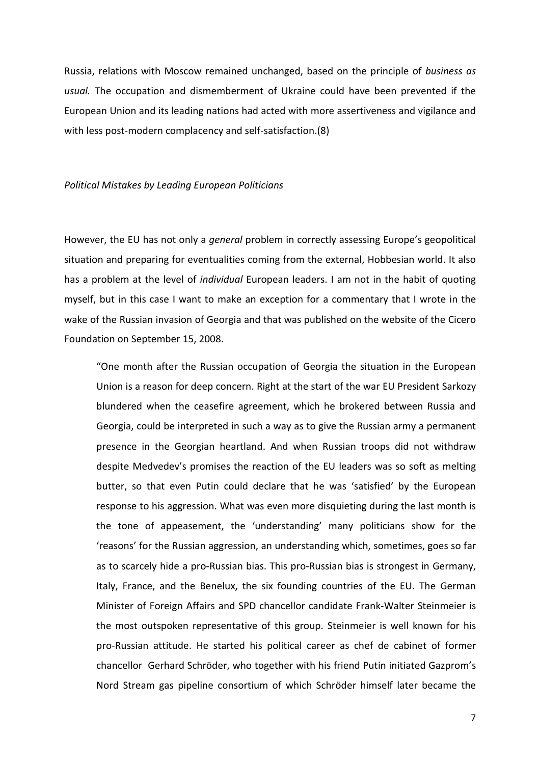Russia, relations with Moscow remained unchanged, based on the principle of business as usual. The occupation and dismemberment of Ukraine could have been prevented if the European Union and its leading nations had acted with more assertiveness and vigilance and with less post-modern complacency and self-satisfaction.(8)

#### Political Mistakes by Leading European Politicians

However, the EU has not only a general problem in correctly assessing Europe's geopolitical situation and preparing for eventualities coming from the external, Hobbesian world. It also has a problem at the level of *individual* European leaders. I am not in the habit of quoting myself, but in this case I want to make an exception for a commentary that I wrote in the wake of the Russian invasion of Georgia and that was published on the website of the Cicero Foundation on September 15, 2008.

"One month after the Russian occupation of Georgia the situation in the European Union is a reason for deep concern. Right at the start of the war EU President Sarkozy blundered when the ceasefire agreement, which he brokered between Russia and Georgia, could be interpreted in such a way as to give the Russian army a permanent presence in the Georgian heartland. And when Russian troops did not withdraw despite Medvedev's promises the reaction of the EU leaders was so soft as melting butter, so that even Putin could declare that he was 'satisfied' by the European response to his aggression. What was even more disquieting during the last month is the tone of appeasement, the 'understanding' many politicians show for the 'reasons' for the Russian aggression, an understanding which, sometimes, goes so far as to scarcely hide a pro-Russian bias. This pro-Russian bias is strongest in Germany, Italy, France, and the Benelux, the six founding countries of the EU. The German Minister of Foreign Affairs and SPD chancellor candidate Frank-Walter Steinmeier is the most outspoken representative of this group. Steinmeier is well known for his pro-Russian attitude. He started his political career as chef de cabinet of former chancellor Gerhard Schröder, who together with his friend Putin initiated Gazprom's Nord Stream gas pipeline consortium of which Schröder himself later became the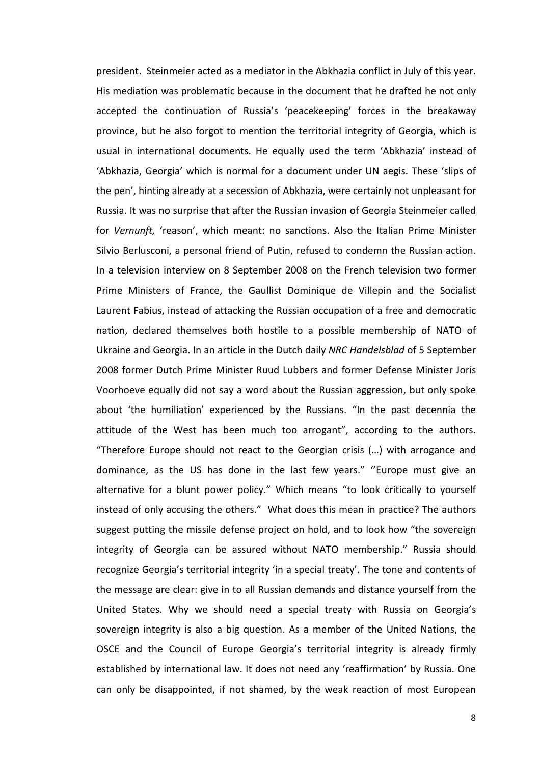president. Steinmeier acted as a mediator in the Abkhazia conflict in July of this year. His mediation was problematic because in the document that he drafted he not only accepted the continuation of Russia's 'peacekeeping' forces in the breakaway province, but he also forgot to mention the territorial integrity of Georgia, which is usual in international documents. He equally used the term 'Abkhazia' instead of 'Abkhazia, Georgia' which is normal for a document under UN aegis. These 'slips of the pen', hinting already at a secession of Abkhazia, were certainly not unpleasant for Russia. It was no surprise that after the Russian invasion of Georgia Steinmeier called for Vernunft, 'reason', which meant: no sanctions. Also the Italian Prime Minister Silvio Berlusconi, a personal friend of Putin, refused to condemn the Russian action. In a television interview on 8 September 2008 on the French television two former Prime Ministers of France, the Gaullist Dominique de Villepin and the Socialist Laurent Fabius, instead of attacking the Russian occupation of a free and democratic nation, declared themselves both hostile to a possible membership of NATO of Ukraine and Georgia. In an article in the Dutch daily NRC Handelsblad of 5 September 2008 former Dutch Prime Minister Ruud Lubbers and former Defense Minister Joris Voorhoeve equally did not say a word about the Russian aggression, but only spoke about 'the humiliation' experienced by the Russians. "In the past decennia the attitude of the West has been much too arrogant", according to the authors. "Therefore Europe should not react to the Georgian crisis (…) with arrogance and dominance, as the US has done in the last few years." ''Europe must give an alternative for a blunt power policy." Which means "to look critically to yourself instead of only accusing the others." What does this mean in practice? The authors suggest putting the missile defense project on hold, and to look how "the sovereign integrity of Georgia can be assured without NATO membership." Russia should recognize Georgia's territorial integrity 'in a special treaty'. The tone and contents of the message are clear: give in to all Russian demands and distance yourself from the United States. Why we should need a special treaty with Russia on Georgia's sovereign integrity is also a big question. As a member of the United Nations, the OSCE and the Council of Europe Georgia's territorial integrity is already firmly established by international law. It does not need any 'reaffirmation' by Russia. One can only be disappointed, if not shamed, by the weak reaction of most European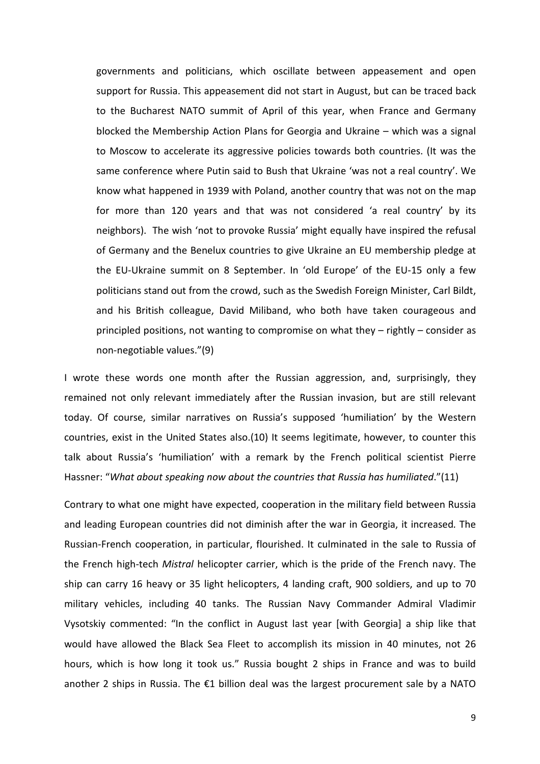governments and politicians, which oscillate between appeasement and open support for Russia. This appeasement did not start in August, but can be traced back to the Bucharest NATO summit of April of this year, when France and Germany blocked the Membership Action Plans for Georgia and Ukraine – which was a signal to Moscow to accelerate its aggressive policies towards both countries. (It was the same conference where Putin said to Bush that Ukraine 'was not a real country'. We know what happened in 1939 with Poland, another country that was not on the map for more than 120 years and that was not considered 'a real country' by its neighbors). The wish 'not to provoke Russia' might equally have inspired the refusal of Germany and the Benelux countries to give Ukraine an EU membership pledge at the EU-Ukraine summit on 8 September. In 'old Europe' of the EU-15 only a few politicians stand out from the crowd, such as the Swedish Foreign Minister, Carl Bildt, and his British colleague, David Miliband, who both have taken courageous and principled positions, not wanting to compromise on what they – rightly – consider as non-negotiable values."(9)

I wrote these words one month after the Russian aggression, and, surprisingly, they remained not only relevant immediately after the Russian invasion, but are still relevant today. Of course, similar narratives on Russia's supposed 'humiliation' by the Western countries, exist in the United States also.(10) It seems legitimate, however, to counter this talk about Russia's 'humiliation' with a remark by the French political scientist Pierre Hassner: "What about speaking now about the countries that Russia has humiliated."(11)

Contrary to what one might have expected, cooperation in the military field between Russia and leading European countries did not diminish after the war in Georgia, it increased. The Russian-French cooperation, in particular, flourished. It culminated in the sale to Russia of the French high-tech Mistral helicopter carrier, which is the pride of the French navy. The ship can carry 16 heavy or 35 light helicopters, 4 landing craft, 900 soldiers, and up to 70 military vehicles, including 40 tanks. The Russian Navy Commander Admiral Vladimir Vysotskiy commented: "In the conflict in August last year [with Georgia] a ship like that would have allowed the Black Sea Fleet to accomplish its mission in 40 minutes, not 26 hours, which is how long it took us." Russia bought 2 ships in France and was to build another 2 ships in Russia. The €1 billion deal was the largest procurement sale by a NATO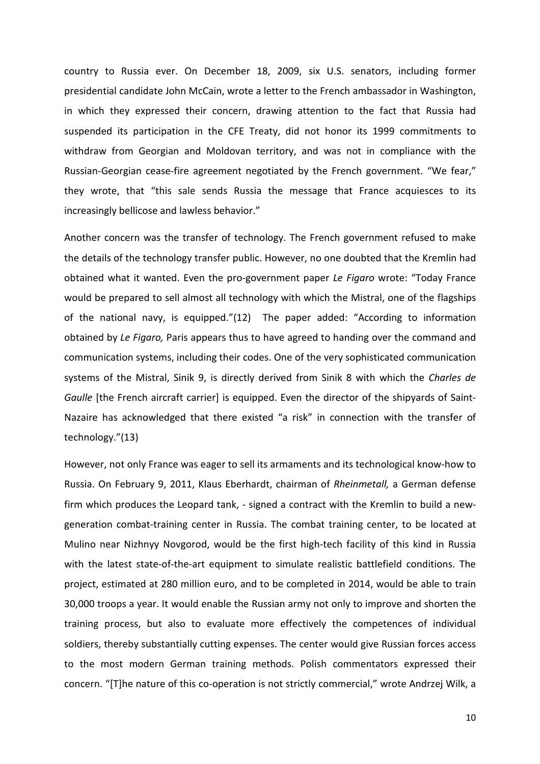country to Russia ever. On December 18, 2009, six U.S. senators, including former presidential candidate John McCain, wrote a letter to the French ambassador in Washington, in which they expressed their concern, drawing attention to the fact that Russia had suspended its participation in the CFE Treaty, did not honor its 1999 commitments to withdraw from Georgian and Moldovan territory, and was not in compliance with the Russian-Georgian cease-fire agreement negotiated by the French government. "We fear," they wrote, that "this sale sends Russia the message that France acquiesces to its increasingly bellicose and lawless behavior."

Another concern was the transfer of technology. The French government refused to make the details of the technology transfer public. However, no one doubted that the Kremlin had obtained what it wanted. Even the pro-government paper Le Figaro wrote: "Today France would be prepared to sell almost all technology with which the Mistral, one of the flagships of the national navy, is equipped."(12) The paper added: "According to information obtained by Le Figaro, Paris appears thus to have agreed to handing over the command and communication systems, including their codes. One of the very sophisticated communication systems of the Mistral, Sinik 9, is directly derived from Sinik 8 with which the Charles de Gaulle [the French aircraft carrier] is equipped. Even the director of the shipyards of Saint-Nazaire has acknowledged that there existed "a risk" in connection with the transfer of technology."(13)

However, not only France was eager to sell its armaments and its technological know-how to Russia. On February 9, 2011, Klaus Eberhardt, chairman of Rheinmetall, a German defense firm which produces the Leopard tank, - signed a contract with the Kremlin to build a newgeneration combat-training center in Russia. The combat training center, to be located at Mulino near Nizhnyy Novgorod, would be the first high-tech facility of this kind in Russia with the latest state-of-the-art equipment to simulate realistic battlefield conditions. The project, estimated at 280 million euro, and to be completed in 2014, would be able to train 30,000 troops a year. It would enable the Russian army not only to improve and shorten the training process, but also to evaluate more effectively the competences of individual soldiers, thereby substantially cutting expenses. The center would give Russian forces access to the most modern German training methods. Polish commentators expressed their concern. "[T]he nature of this co-operation is not strictly commercial," wrote Andrzej Wilk, a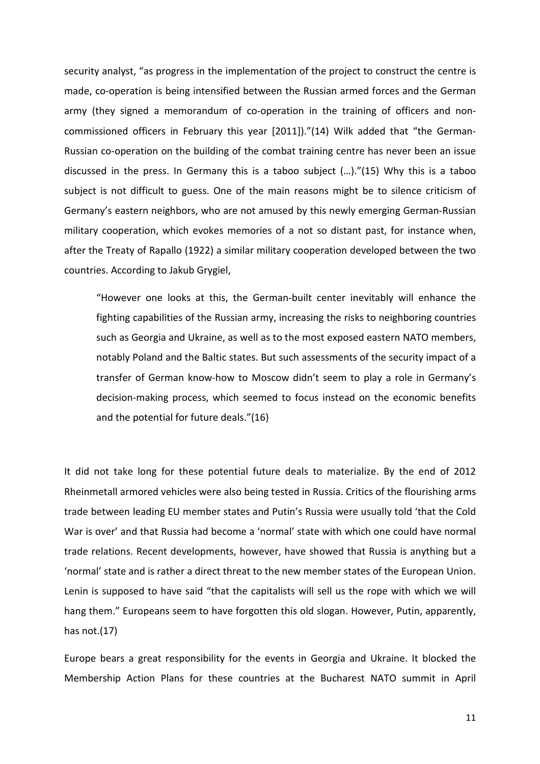security analyst, "as progress in the implementation of the project to construct the centre is made, co-operation is being intensified between the Russian armed forces and the German army (they signed a memorandum of co-operation in the training of officers and noncommissioned officers in February this year [2011])."(14) Wilk added that "the German-Russian co-operation on the building of the combat training centre has never been an issue discussed in the press. In Germany this is a taboo subject (…)."(15) Why this is a taboo subject is not difficult to guess. One of the main reasons might be to silence criticism of Germany's eastern neighbors, who are not amused by this newly emerging German-Russian military cooperation, which evokes memories of a not so distant past, for instance when, after the Treaty of Rapallo (1922) a similar military cooperation developed between the two countries. According to Jakub Grygiel,

"However one looks at this, the German-built center inevitably will enhance the fighting capabilities of the Russian army, increasing the risks to neighboring countries such as Georgia and Ukraine, as well as to the most exposed eastern NATO members, notably Poland and the Baltic states. But such assessments of the security impact of a transfer of German know-how to Moscow didn't seem to play a role in Germany's decision-making process, which seemed to focus instead on the economic benefits and the potential for future deals."(16)

It did not take long for these potential future deals to materialize. By the end of 2012 Rheinmetall armored vehicles were also being tested in Russia. Critics of the flourishing arms trade between leading EU member states and Putin's Russia were usually told 'that the Cold War is over' and that Russia had become a 'normal' state with which one could have normal trade relations. Recent developments, however, have showed that Russia is anything but a 'normal' state and is rather a direct threat to the new member states of the European Union. Lenin is supposed to have said "that the capitalists will sell us the rope with which we will hang them." Europeans seem to have forgotten this old slogan. However, Putin, apparently, has not.(17)

Europe bears a great responsibility for the events in Georgia and Ukraine. It blocked the Membership Action Plans for these countries at the Bucharest NATO summit in April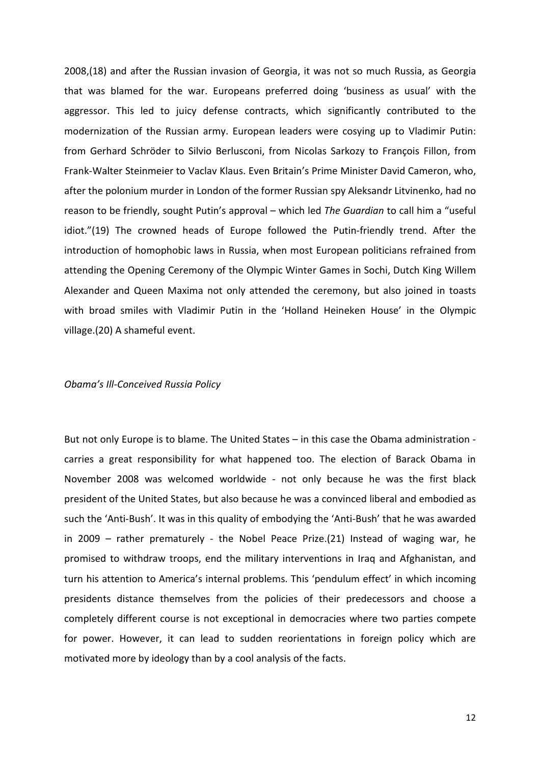2008,(18) and after the Russian invasion of Georgia, it was not so much Russia, as Georgia that was blamed for the war. Europeans preferred doing 'business as usual' with the aggressor. This led to juicy defense contracts, which significantly contributed to the modernization of the Russian army. European leaders were cosying up to Vladimir Putin: from Gerhard Schröder to Silvio Berlusconi, from Nicolas Sarkozy to François Fillon, from Frank-Walter Steinmeier to Vaclav Klaus. Even Britain's Prime Minister David Cameron, who, after the polonium murder in London of the former Russian spy Aleksandr Litvinenko, had no reason to be friendly, sought Putin's approval – which led The Guardian to call him a "useful idiot."(19) The crowned heads of Europe followed the Putin-friendly trend. After the introduction of homophobic laws in Russia, when most European politicians refrained from attending the Opening Ceremony of the Olympic Winter Games in Sochi, Dutch King Willem Alexander and Queen Maxima not only attended the ceremony, but also joined in toasts with broad smiles with Vladimir Putin in the 'Holland Heineken House' in the Olympic village.(20) A shameful event.

#### Obama's Ill-Conceived Russia Policy

But not only Europe is to blame. The United States – in this case the Obama administration carries a great responsibility for what happened too. The election of Barack Obama in November 2008 was welcomed worldwide - not only because he was the first black president of the United States, but also because he was a convinced liberal and embodied as such the 'Anti-Bush'. It was in this quality of embodying the 'Anti-Bush' that he was awarded in 2009 – rather prematurely - the Nobel Peace Prize.(21) Instead of waging war, he promised to withdraw troops, end the military interventions in Iraq and Afghanistan, and turn his attention to America's internal problems. This 'pendulum effect' in which incoming presidents distance themselves from the policies of their predecessors and choose a completely different course is not exceptional in democracies where two parties compete for power. However, it can lead to sudden reorientations in foreign policy which are motivated more by ideology than by a cool analysis of the facts.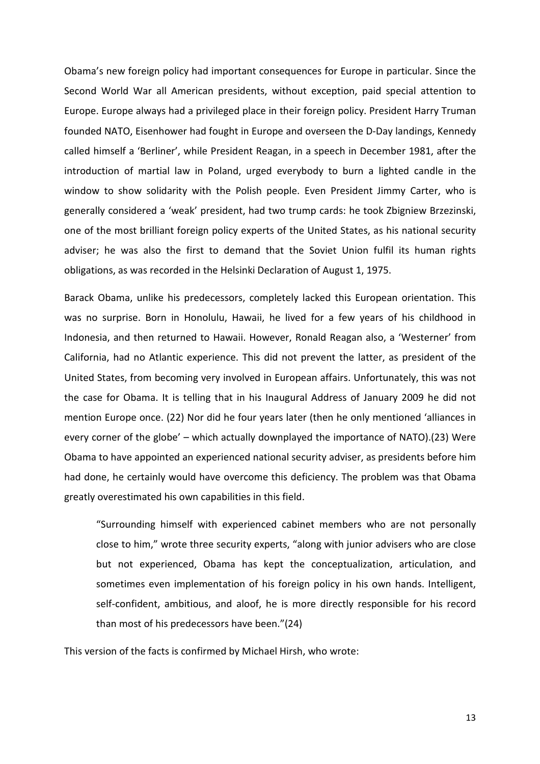Obama's new foreign policy had important consequences for Europe in particular. Since the Second World War all American presidents, without exception, paid special attention to Europe. Europe always had a privileged place in their foreign policy. President Harry Truman founded NATO, Eisenhower had fought in Europe and overseen the D-Day landings, Kennedy called himself a 'Berliner', while President Reagan, in a speech in December 1981, after the introduction of martial law in Poland, urged everybody to burn a lighted candle in the window to show solidarity with the Polish people. Even President Jimmy Carter, who is generally considered a 'weak' president, had two trump cards: he took Zbigniew Brzezinski, one of the most brilliant foreign policy experts of the United States, as his national security adviser; he was also the first to demand that the Soviet Union fulfil its human rights obligations, as was recorded in the Helsinki Declaration of August 1, 1975.

Barack Obama, unlike his predecessors, completely lacked this European orientation. This was no surprise. Born in Honolulu, Hawaii, he lived for a few years of his childhood in Indonesia, and then returned to Hawaii. However, Ronald Reagan also, a 'Westerner' from California, had no Atlantic experience. This did not prevent the latter, as president of the United States, from becoming very involved in European affairs. Unfortunately, this was not the case for Obama. It is telling that in his Inaugural Address of January 2009 he did not mention Europe once. (22) Nor did he four years later (then he only mentioned 'alliances in every corner of the globe' – which actually downplayed the importance of NATO).(23) Were Obama to have appointed an experienced national security adviser, as presidents before him had done, he certainly would have overcome this deficiency. The problem was that Obama greatly overestimated his own capabilities in this field.

"Surrounding himself with experienced cabinet members who are not personally close to him," wrote three security experts, "along with junior advisers who are close but not experienced, Obama has kept the conceptualization, articulation, and sometimes even implementation of his foreign policy in his own hands. Intelligent, self-confident, ambitious, and aloof, he is more directly responsible for his record than most of his predecessors have been."(24)

This version of the facts is confirmed by Michael Hirsh, who wrote: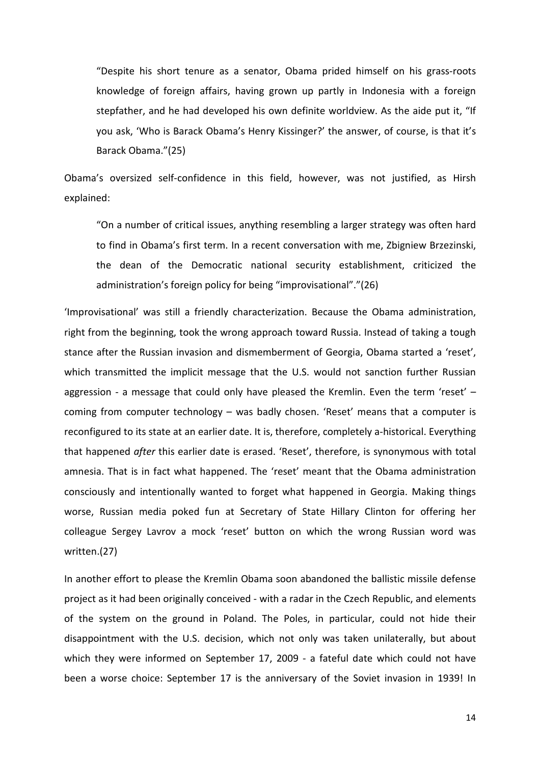"Despite his short tenure as a senator, Obama prided himself on his grass-roots knowledge of foreign affairs, having grown up partly in Indonesia with a foreign stepfather, and he had developed his own definite worldview. As the aide put it, "If you ask, 'Who is Barack Obama's Henry Kissinger?' the answer, of course, is that it's Barack Obama."(25)

Obama's oversized self-confidence in this field, however, was not justified, as Hirsh explained:

"On a number of critical issues, anything resembling a larger strategy was often hard to find in Obama's first term. In a recent conversation with me, Zbigniew Brzezinski, the dean of the Democratic national security establishment, criticized the administration's foreign policy for being "improvisational"."(26)

'Improvisational' was still a friendly characterization. Because the Obama administration, right from the beginning, took the wrong approach toward Russia. Instead of taking a tough stance after the Russian invasion and dismemberment of Georgia, Obama started a 'reset', which transmitted the implicit message that the U.S. would not sanction further Russian aggression - a message that could only have pleased the Kremlin. Even the term 'reset' coming from computer technology – was badly chosen. 'Reset' means that a computer is reconfigured to its state at an earlier date. It is, therefore, completely a-historical. Everything that happened after this earlier date is erased. 'Reset', therefore, is synonymous with total amnesia. That is in fact what happened. The 'reset' meant that the Obama administration consciously and intentionally wanted to forget what happened in Georgia. Making things worse, Russian media poked fun at Secretary of State Hillary Clinton for offering her colleague Sergey Lavrov a mock 'reset' button on which the wrong Russian word was written.(27)

In another effort to please the Kremlin Obama soon abandoned the ballistic missile defense project as it had been originally conceived - with a radar in the Czech Republic, and elements of the system on the ground in Poland. The Poles, in particular, could not hide their disappointment with the U.S. decision, which not only was taken unilaterally, but about which they were informed on September 17, 2009 - a fateful date which could not have been a worse choice: September 17 is the anniversary of the Soviet invasion in 1939! In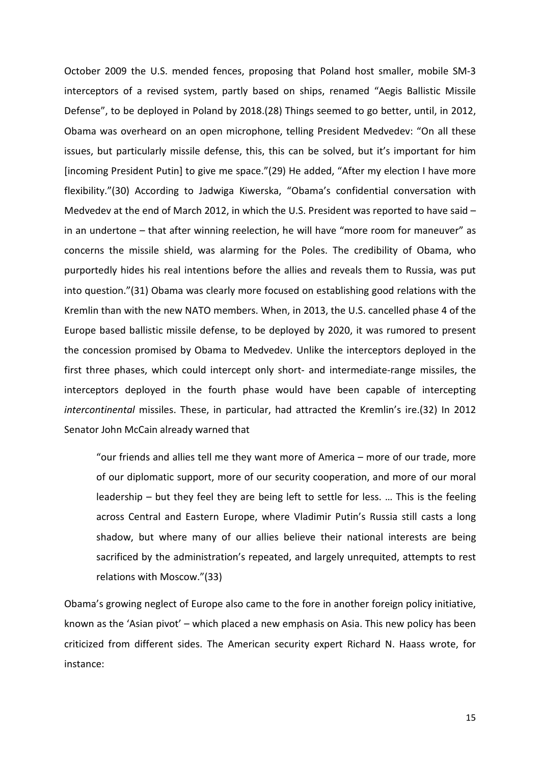October 2009 the U.S. mended fences, proposing that Poland host smaller, mobile SM-3 interceptors of a revised system, partly based on ships, renamed "Aegis Ballistic Missile Defense", to be deployed in Poland by 2018.(28) Things seemed to go better, until, in 2012, Obama was overheard on an open microphone, telling President Medvedev: "On all these issues, but particularly missile defense, this, this can be solved, but it's important for him [incoming President Putin] to give me space."(29) He added, "After my election I have more flexibility."(30) According to Jadwiga Kiwerska, "Obama's confidential conversation with Medvedev at the end of March 2012, in which the U.S. President was reported to have said – in an undertone – that after winning reelection, he will have "more room for maneuver" as concerns the missile shield, was alarming for the Poles. The credibility of Obama, who purportedly hides his real intentions before the allies and reveals them to Russia, was put into question."(31) Obama was clearly more focused on establishing good relations with the Kremlin than with the new NATO members. When, in 2013, the U.S. cancelled phase 4 of the Europe based ballistic missile defense, to be deployed by 2020, it was rumored to present the concession promised by Obama to Medvedev. Unlike the interceptors deployed in the first three phases, which could intercept only short- and intermediate-range missiles, the interceptors deployed in the fourth phase would have been capable of intercepting intercontinental missiles. These, in particular, had attracted the Kremlin's ire.(32) In 2012 Senator John McCain already warned that

"our friends and allies tell me they want more of America – more of our trade, more of our diplomatic support, more of our security cooperation, and more of our moral leadership – but they feel they are being left to settle for less. … This is the feeling across Central and Eastern Europe, where Vladimir Putin's Russia still casts a long shadow, but where many of our allies believe their national interests are being sacrificed by the administration's repeated, and largely unrequited, attempts to rest relations with Moscow."(33)

Obama's growing neglect of Europe also came to the fore in another foreign policy initiative, known as the 'Asian pivot' – which placed a new emphasis on Asia. This new policy has been criticized from different sides. The American security expert Richard N. Haass wrote, for instance: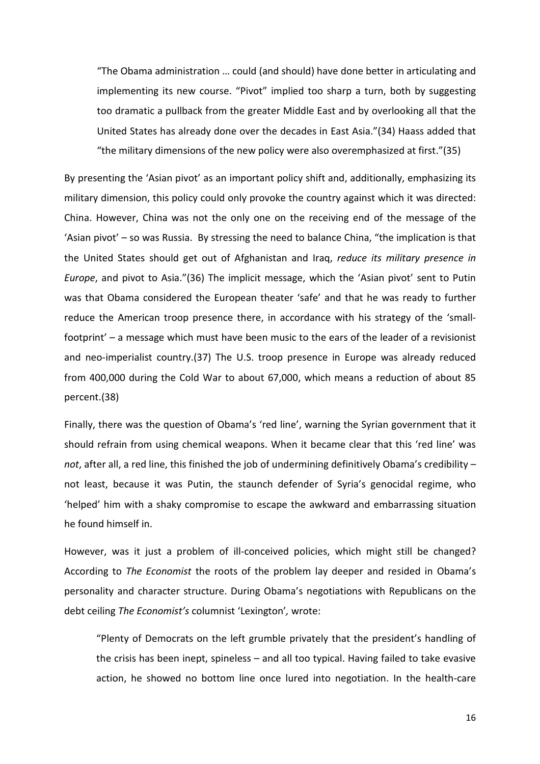"The Obama administration … could (and should) have done better in articulating and implementing its new course. "Pivot" implied too sharp a turn, both by suggesting too dramatic a pullback from the greater Middle East and by overlooking all that the United States has already done over the decades in East Asia."(34) Haass added that "the military dimensions of the new policy were also overemphasized at first."(35)

By presenting the 'Asian pivot' as an important policy shift and, additionally, emphasizing its military dimension, this policy could only provoke the country against which it was directed: China. However, China was not the only one on the receiving end of the message of the 'Asian pivot' – so was Russia. By stressing the need to balance China, "the implication is that the United States should get out of Afghanistan and Iraq, reduce its military presence in Europe, and pivot to Asia."(36) The implicit message, which the 'Asian pivot' sent to Putin was that Obama considered the European theater 'safe' and that he was ready to further reduce the American troop presence there, in accordance with his strategy of the 'smallfootprint' – a message which must have been music to the ears of the leader of a revisionist and neo-imperialist country.(37) The U.S. troop presence in Europe was already reduced from 400,000 during the Cold War to about 67,000, which means a reduction of about 85 percent.(38)

Finally, there was the question of Obama's 'red line', warning the Syrian government that it should refrain from using chemical weapons. When it became clear that this 'red line' was not, after all, a red line, this finished the job of undermining definitively Obama's credibility not least, because it was Putin, the staunch defender of Syria's genocidal regime, who 'helped' him with a shaky compromise to escape the awkward and embarrassing situation he found himself in.

However, was it just a problem of ill-conceived policies, which might still be changed? According to The Economist the roots of the problem lay deeper and resided in Obama's personality and character structure. During Obama's negotiations with Republicans on the debt ceiling The Economist's columnist 'Lexington', wrote:

"Plenty of Democrats on the left grumble privately that the president's handling of the crisis has been inept, spineless – and all too typical. Having failed to take evasive action, he showed no bottom line once lured into negotiation. In the health-care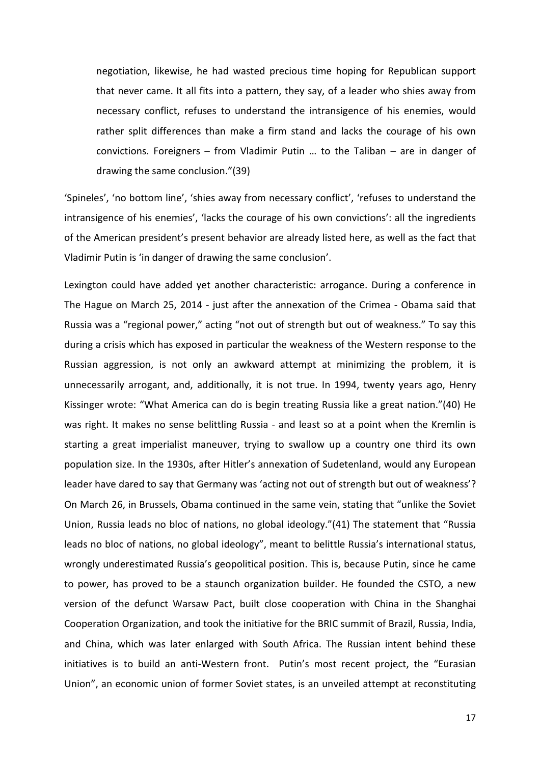negotiation, likewise, he had wasted precious time hoping for Republican support that never came. It all fits into a pattern, they say, of a leader who shies away from necessary conflict, refuses to understand the intransigence of his enemies, would rather split differences than make a firm stand and lacks the courage of his own convictions. Foreigners – from Vladimir Putin … to the Taliban – are in danger of drawing the same conclusion."(39)

'Spineles', 'no bottom line', 'shies away from necessary conflict', 'refuses to understand the intransigence of his enemies', 'lacks the courage of his own convictions': all the ingredients of the American president's present behavior are already listed here, as well as the fact that Vladimir Putin is 'in danger of drawing the same conclusion'.

Lexington could have added yet another characteristic: arrogance. During a conference in The Hague on March 25, 2014 - just after the annexation of the Crimea - Obama said that Russia was a "regional power," acting "not out of strength but out of weakness." To say this during a crisis which has exposed in particular the weakness of the Western response to the Russian aggression, is not only an awkward attempt at minimizing the problem, it is unnecessarily arrogant, and, additionally, it is not true. In 1994, twenty years ago, Henry Kissinger wrote: "What America can do is begin treating Russia like a great nation."(40) He was right. It makes no sense belittling Russia - and least so at a point when the Kremlin is starting a great imperialist maneuver, trying to swallow up a country one third its own population size. In the 1930s, after Hitler's annexation of Sudetenland, would any European leader have dared to say that Germany was 'acting not out of strength but out of weakness'? On March 26, in Brussels, Obama continued in the same vein, stating that "unlike the Soviet Union, Russia leads no bloc of nations, no global ideology."(41) The statement that "Russia leads no bloc of nations, no global ideology", meant to belittle Russia's international status, wrongly underestimated Russia's geopolitical position. This is, because Putin, since he came to power, has proved to be a staunch organization builder. He founded the CSTO, a new version of the defunct Warsaw Pact, built close cooperation with China in the Shanghai Cooperation Organization, and took the initiative for the BRIC summit of Brazil, Russia, India, and China, which was later enlarged with South Africa. The Russian intent behind these initiatives is to build an anti-Western front. Putin's most recent project, the "Eurasian Union", an economic union of former Soviet states, is an unveiled attempt at reconstituting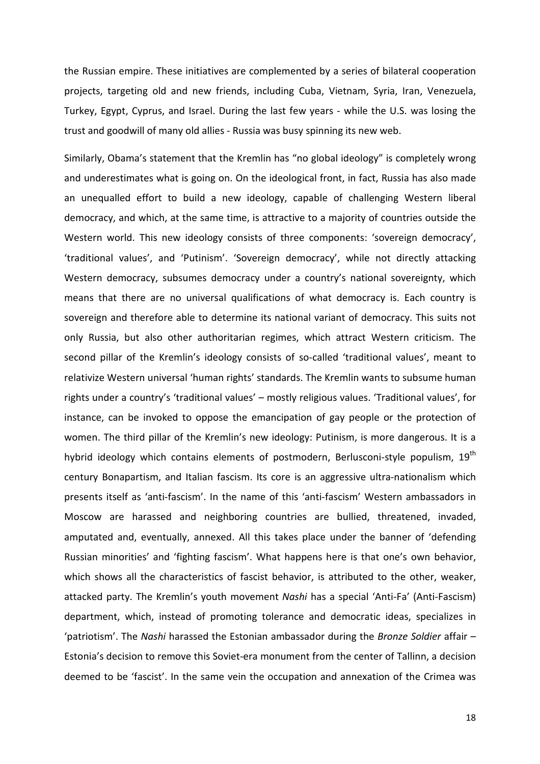the Russian empire. These initiatives are complemented by a series of bilateral cooperation projects, targeting old and new friends, including Cuba, Vietnam, Syria, Iran, Venezuela, Turkey, Egypt, Cyprus, and Israel. During the last few years - while the U.S. was losing the trust and goodwill of many old allies - Russia was busy spinning its new web.

Similarly, Obama's statement that the Kremlin has "no global ideology" is completely wrong and underestimates what is going on. On the ideological front, in fact, Russia has also made an unequalled effort to build a new ideology, capable of challenging Western liberal democracy, and which, at the same time, is attractive to a majority of countries outside the Western world. This new ideology consists of three components: 'sovereign democracy', 'traditional values', and 'Putinism'. 'Sovereign democracy', while not directly attacking Western democracy, subsumes democracy under a country's national sovereignty, which means that there are no universal qualifications of what democracy is. Each country is sovereign and therefore able to determine its national variant of democracy. This suits not only Russia, but also other authoritarian regimes, which attract Western criticism. The second pillar of the Kremlin's ideology consists of so-called 'traditional values', meant to relativize Western universal 'human rights' standards. The Kremlin wants to subsume human rights under a country's 'traditional values' – mostly religious values. 'Traditional values', for instance, can be invoked to oppose the emancipation of gay people or the protection of women. The third pillar of the Kremlin's new ideology: Putinism, is more dangerous. It is a hybrid ideology which contains elements of postmodern, Berlusconi-style populism, 19<sup>th</sup> century Bonapartism, and Italian fascism. Its core is an aggressive ultra-nationalism which presents itself as 'anti-fascism'. In the name of this 'anti-fascism' Western ambassadors in Moscow are harassed and neighboring countries are bullied, threatened, invaded, amputated and, eventually, annexed. All this takes place under the banner of 'defending Russian minorities' and 'fighting fascism'. What happens here is that one's own behavior, which shows all the characteristics of fascist behavior, is attributed to the other, weaker, attacked party. The Kremlin's youth movement Nashi has a special 'Anti-Fa' (Anti-Fascism) department, which, instead of promoting tolerance and democratic ideas, specializes in 'patriotism'. The Nashi harassed the Estonian ambassador during the Bronze Soldier affair -Estonia's decision to remove this Soviet-era monument from the center of Tallinn, a decision deemed to be 'fascist'. In the same vein the occupation and annexation of the Crimea was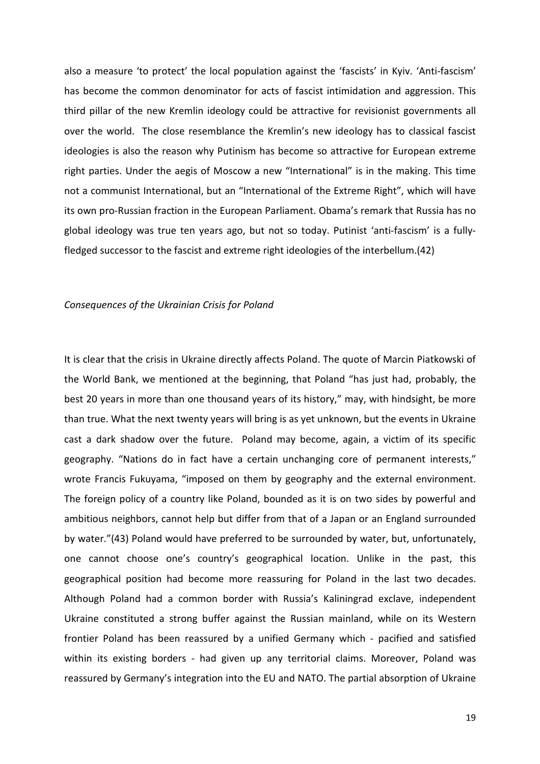also a measure 'to protect' the local population against the 'fascists' in Kyiv. 'Anti-fascism' has become the common denominator for acts of fascist intimidation and aggression. This third pillar of the new Kremlin ideology could be attractive for revisionist governments all over the world. The close resemblance the Kremlin's new ideology has to classical fascist ideologies is also the reason why Putinism has become so attractive for European extreme right parties. Under the aegis of Moscow a new "International" is in the making. This time not a communist International, but an "International of the Extreme Right", which will have its own pro-Russian fraction in the European Parliament. Obama's remark that Russia has no global ideology was true ten years ago, but not so today. Putinist 'anti-fascism' is a fullyfledged successor to the fascist and extreme right ideologies of the interbellum.(42)

### Consequences of the Ukrainian Crisis for Poland

It is clear that the crisis in Ukraine directly affects Poland. The quote of Marcin Piatkowski of the World Bank, we mentioned at the beginning, that Poland "has just had, probably, the best 20 years in more than one thousand years of its history," may, with hindsight, be more than true. What the next twenty years will bring is as yet unknown, but the events in Ukraine cast a dark shadow over the future. Poland may become, again, a victim of its specific geography. "Nations do in fact have a certain unchanging core of permanent interests," wrote Francis Fukuyama, "imposed on them by geography and the external environment. The foreign policy of a country like Poland, bounded as it is on two sides by powerful and ambitious neighbors, cannot help but differ from that of a Japan or an England surrounded by water."(43) Poland would have preferred to be surrounded by water, but, unfortunately, one cannot choose one's country's geographical location. Unlike in the past, this geographical position had become more reassuring for Poland in the last two decades. Although Poland had a common border with Russia's Kaliningrad exclave, independent Ukraine constituted a strong buffer against the Russian mainland, while on its Western frontier Poland has been reassured by a unified Germany which - pacified and satisfied within its existing borders - had given up any territorial claims. Moreover, Poland was reassured by Germany's integration into the EU and NATO. The partial absorption of Ukraine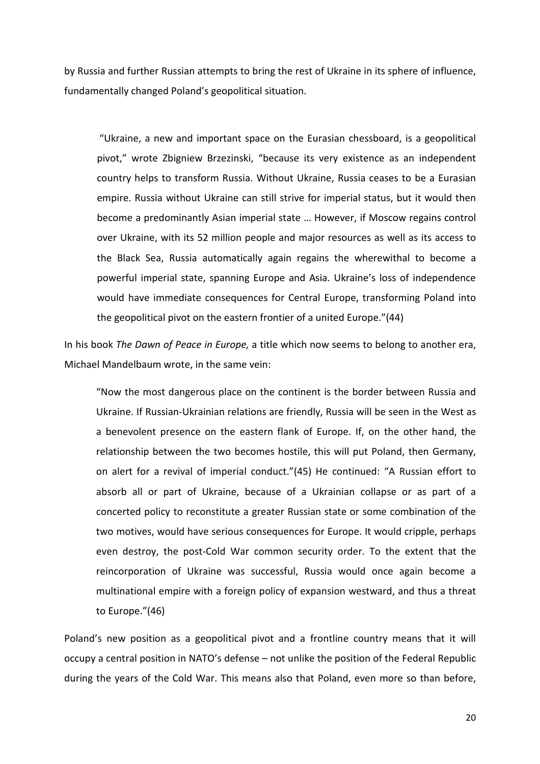by Russia and further Russian attempts to bring the rest of Ukraine in its sphere of influence, fundamentally changed Poland's geopolitical situation.

 "Ukraine, a new and important space on the Eurasian chessboard, is a geopolitical pivot," wrote Zbigniew Brzezinski, "because its very existence as an independent country helps to transform Russia. Without Ukraine, Russia ceases to be a Eurasian empire. Russia without Ukraine can still strive for imperial status, but it would then become a predominantly Asian imperial state … However, if Moscow regains control over Ukraine, with its 52 million people and major resources as well as its access to the Black Sea, Russia automatically again regains the wherewithal to become a powerful imperial state, spanning Europe and Asia. Ukraine's loss of independence would have immediate consequences for Central Europe, transforming Poland into the geopolitical pivot on the eastern frontier of a united Europe."(44)

In his book The Dawn of Peace in Europe, a title which now seems to belong to another era, Michael Mandelbaum wrote, in the same vein:

"Now the most dangerous place on the continent is the border between Russia and Ukraine. If Russian-Ukrainian relations are friendly, Russia will be seen in the West as a benevolent presence on the eastern flank of Europe. If, on the other hand, the relationship between the two becomes hostile, this will put Poland, then Germany, on alert for a revival of imperial conduct."(45) He continued: "A Russian effort to absorb all or part of Ukraine, because of a Ukrainian collapse or as part of a concerted policy to reconstitute a greater Russian state or some combination of the two motives, would have serious consequences for Europe. It would cripple, perhaps even destroy, the post-Cold War common security order. To the extent that the reincorporation of Ukraine was successful, Russia would once again become a multinational empire with a foreign policy of expansion westward, and thus a threat to Europe."(46)

Poland's new position as a geopolitical pivot and a frontline country means that it will occupy a central position in NATO's defense – not unlike the position of the Federal Republic during the years of the Cold War. This means also that Poland, even more so than before,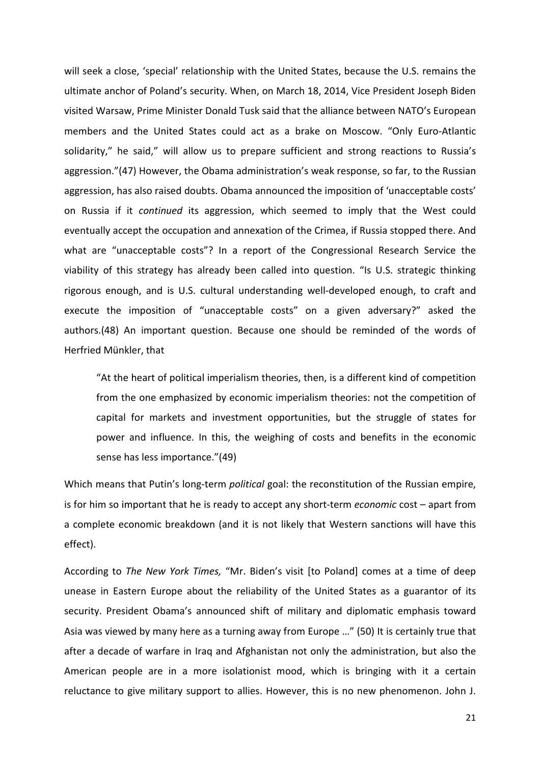will seek a close, 'special' relationship with the United States, because the U.S. remains the ultimate anchor of Poland's security. When, on March 18, 2014, Vice President Joseph Biden visited Warsaw, Prime Minister Donald Tusk said that the alliance between NATO's European members and the United States could act as a brake on Moscow. "Only Euro-Atlantic solidarity," he said," will allow us to prepare sufficient and strong reactions to Russia's aggression."(47) However, the Obama administration's weak response, so far, to the Russian aggression, has also raised doubts. Obama announced the imposition of 'unacceptable costs' on Russia if it continued its aggression, which seemed to imply that the West could eventually accept the occupation and annexation of the Crimea, if Russia stopped there. And what are "unacceptable costs"? In a report of the Congressional Research Service the viability of this strategy has already been called into question. "Is U.S. strategic thinking rigorous enough, and is U.S. cultural understanding well-developed enough, to craft and execute the imposition of "unacceptable costs" on a given adversary?" asked the authors.(48) An important question. Because one should be reminded of the words of Herfried Münkler, that

"At the heart of political imperialism theories, then, is a different kind of competition from the one emphasized by economic imperialism theories: not the competition of capital for markets and investment opportunities, but the struggle of states for power and influence. In this, the weighing of costs and benefits in the economic sense has less importance."(49)

Which means that Putin's long-term *political* goal: the reconstitution of the Russian empire, is for him so important that he is ready to accept any short-term economic cost – apart from a complete economic breakdown (and it is not likely that Western sanctions will have this effect).

According to The New York Times, "Mr. Biden's visit [to Poland] comes at a time of deep unease in Eastern Europe about the reliability of the United States as a guarantor of its security. President Obama's announced shift of military and diplomatic emphasis toward Asia was viewed by many here as a turning away from Europe …" (50) It is certainly true that after a decade of warfare in Iraq and Afghanistan not only the administration, but also the American people are in a more isolationist mood, which is bringing with it a certain reluctance to give military support to allies. However, this is no new phenomenon. John J.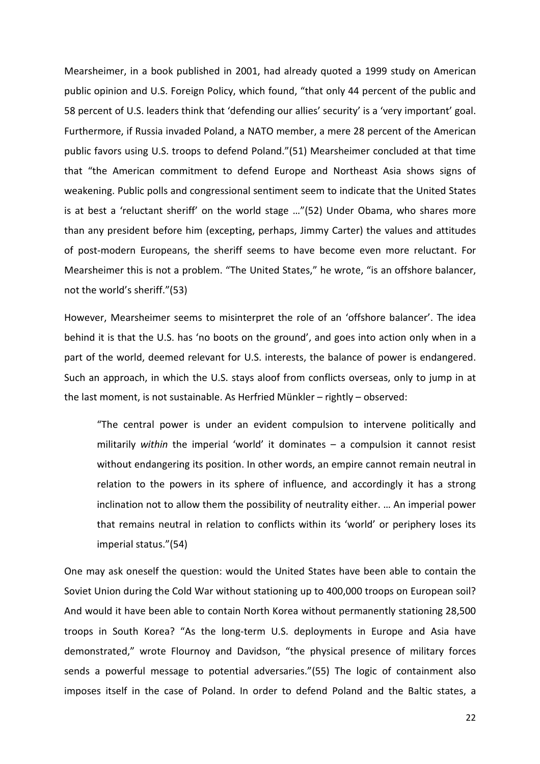Mearsheimer, in a book published in 2001, had already quoted a 1999 study on American public opinion and U.S. Foreign Policy, which found, "that only 44 percent of the public and 58 percent of U.S. leaders think that 'defending our allies' security' is a 'very important' goal. Furthermore, if Russia invaded Poland, a NATO member, a mere 28 percent of the American public favors using U.S. troops to defend Poland."(51) Mearsheimer concluded at that time that "the American commitment to defend Europe and Northeast Asia shows signs of weakening. Public polls and congressional sentiment seem to indicate that the United States is at best a 'reluctant sheriff' on the world stage …"(52) Under Obama, who shares more than any president before him (excepting, perhaps, Jimmy Carter) the values and attitudes of post-modern Europeans, the sheriff seems to have become even more reluctant. For Mearsheimer this is not a problem. "The United States," he wrote, "is an offshore balancer, not the world's sheriff."(53)

However, Mearsheimer seems to misinterpret the role of an 'offshore balancer'. The idea behind it is that the U.S. has 'no boots on the ground', and goes into action only when in a part of the world, deemed relevant for U.S. interests, the balance of power is endangered. Such an approach, in which the U.S. stays aloof from conflicts overseas, only to jump in at the last moment, is not sustainable. As Herfried Münkler – rightly – observed:

"The central power is under an evident compulsion to intervene politically and militarily within the imperial 'world' it dominates  $-$  a compulsion it cannot resist without endangering its position. In other words, an empire cannot remain neutral in relation to the powers in its sphere of influence, and accordingly it has a strong inclination not to allow them the possibility of neutrality either. … An imperial power that remains neutral in relation to conflicts within its 'world' or periphery loses its imperial status."(54)

One may ask oneself the question: would the United States have been able to contain the Soviet Union during the Cold War without stationing up to 400,000 troops on European soil? And would it have been able to contain North Korea without permanently stationing 28,500 troops in South Korea? "As the long-term U.S. deployments in Europe and Asia have demonstrated," wrote Flournoy and Davidson, "the physical presence of military forces sends a powerful message to potential adversaries."(55) The logic of containment also imposes itself in the case of Poland. In order to defend Poland and the Baltic states, a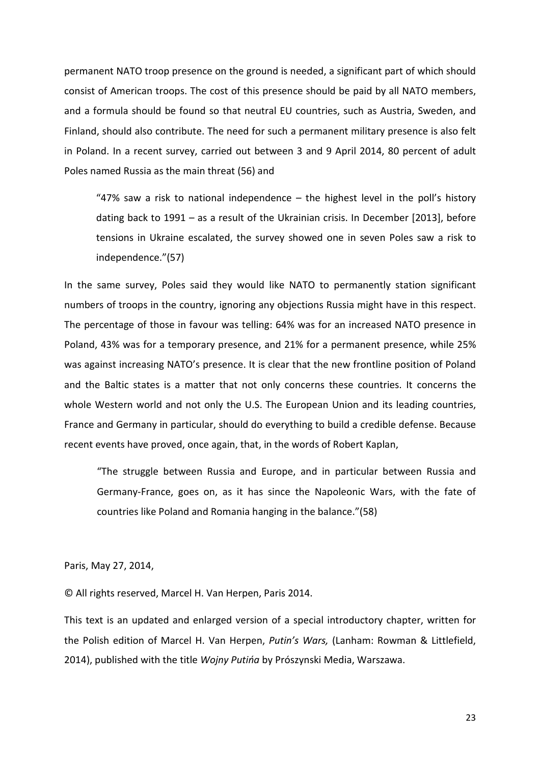permanent NATO troop presence on the ground is needed, a significant part of which should consist of American troops. The cost of this presence should be paid by all NATO members, and a formula should be found so that neutral EU countries, such as Austria, Sweden, and Finland, should also contribute. The need for such a permanent military presence is also felt in Poland. In a recent survey, carried out between 3 and 9 April 2014, 80 percent of adult Poles named Russia as the main threat (56) and

"47% saw a risk to national independence  $-$  the highest level in the poll's history dating back to 1991 – as a result of the Ukrainian crisis. In December [2013], before tensions in Ukraine escalated, the survey showed one in seven Poles saw a risk to independence."(57)

In the same survey, Poles said they would like NATO to permanently station significant numbers of troops in the country, ignoring any objections Russia might have in this respect. The percentage of those in favour was telling: 64% was for an increased NATO presence in Poland, 43% was for a temporary presence, and 21% for a permanent presence, while 25% was against increasing NATO's presence. It is clear that the new frontline position of Poland and the Baltic states is a matter that not only concerns these countries. It concerns the whole Western world and not only the U.S. The European Union and its leading countries, France and Germany in particular, should do everything to build a credible defense. Because recent events have proved, once again, that, in the words of Robert Kaplan,

"The struggle between Russia and Europe, and in particular between Russia and Germany-France, goes on, as it has since the Napoleonic Wars, with the fate of countries like Poland and Romania hanging in the balance."(58)

Paris, May 27, 2014,

© All rights reserved, Marcel H. Van Herpen, Paris 2014.

This text is an updated and enlarged version of a special introductory chapter, written for the Polish edition of Marcel H. Van Herpen, Putin's Wars, (Lanham: Rowman & Littlefield, 2014), published with the title Wojny Putińa by Prószynski Media, Warszawa.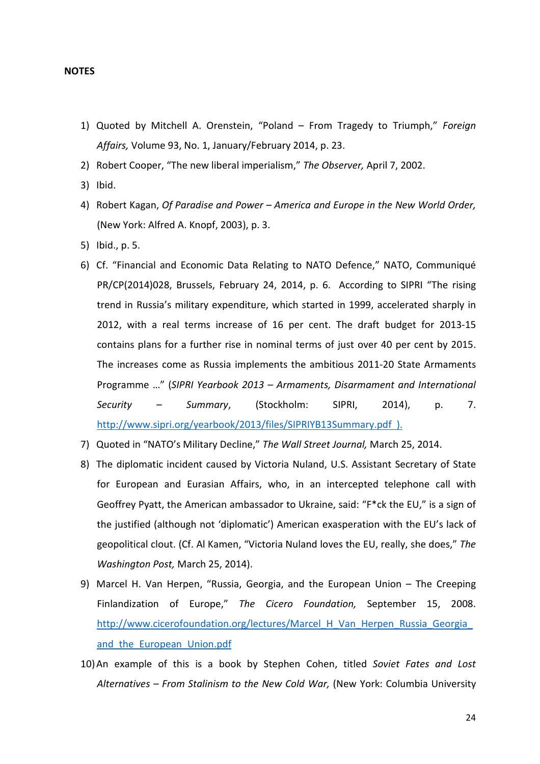#### NOTES

- 1) Quoted by Mitchell A. Orenstein, "Poland From Tragedy to Triumph," Foreign Affairs, Volume 93, No. 1, January/February 2014, p. 23.
- 2) Robert Cooper, "The new liberal imperialism," The Observer, April 7, 2002.
- 3) Ibid.
- 4) Robert Kagan, Of Paradise and Power America and Europe in the New World Order, (New York: Alfred A. Knopf, 2003), p. 3.
- 5) Ibid., p. 5.
- 6) Cf. "Financial and Economic Data Relating to NATO Defence," NATO, Communiqué PR/CP(2014)028, Brussels, February 24, 2014, p. 6. According to SIPRI "The rising trend in Russia's military expenditure, which started in 1999, accelerated sharply in 2012, with a real terms increase of 16 per cent. The draft budget for 2013-15 contains plans for a further rise in nominal terms of just over 40 per cent by 2015. The increases come as Russia implements the ambitious 2011-20 State Armaments Programme …" (SIPRI Yearbook 2013 – Armaments, Disarmament and International Security – Summary, (Stockholm: SIPRI, 2014), p. 7. http://www.sipri.org/yearbook/2013/files/SIPRIYB13Summary.pdf ).
- 7) Quoted in "NATO's Military Decline," The Wall Street Journal, March 25, 2014.
- 8) The diplomatic incident caused by Victoria Nuland, U.S. Assistant Secretary of State for European and Eurasian Affairs, who, in an intercepted telephone call with Geoffrey Pyatt, the American ambassador to Ukraine, said: "F\*ck the EU," is a sign of the justified (although not 'diplomatic') American exasperation with the EU's lack of geopolitical clout. (Cf. Al Kamen, "Victoria Nuland loves the EU, really, she does," The Washington Post, March 25, 2014).
- 9) Marcel H. Van Herpen, "Russia, Georgia, and the European Union The Creeping Finlandization of Europe," The Cicero Foundation, September 15, 2008. http://www.cicerofoundation.org/lectures/Marcel\_H\_Van\_Herpen\_Russia\_Georgia and the European Union.pdf
- 10)An example of this is a book by Stephen Cohen, titled Soviet Fates and Lost Alternatives – From Stalinism to the New Cold War, (New York: Columbia University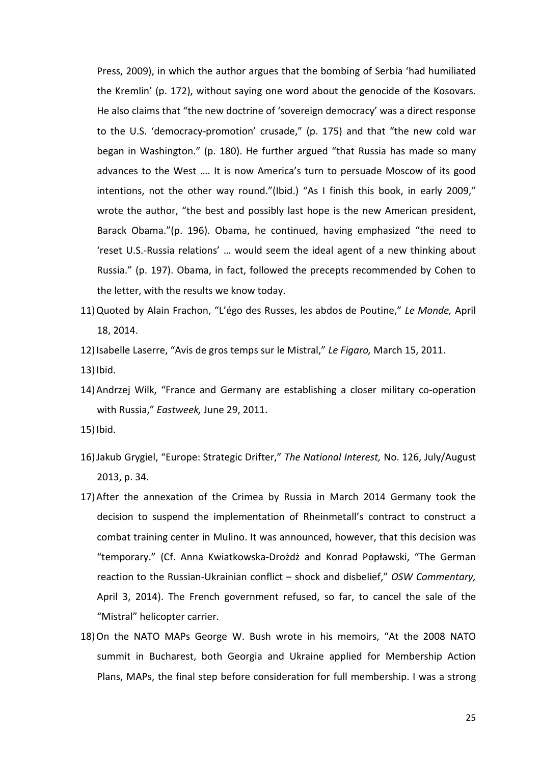Press, 2009), in which the author argues that the bombing of Serbia 'had humiliated the Kremlin' (p. 172), without saying one word about the genocide of the Kosovars. He also claims that "the new doctrine of 'sovereign democracy' was a direct response to the U.S. 'democracy-promotion' crusade," (p. 175) and that "the new cold war began in Washington." (p. 180). He further argued "that Russia has made so many advances to the West …. It is now America's turn to persuade Moscow of its good intentions, not the other way round."(Ibid.) "As I finish this book, in early 2009," wrote the author, "the best and possibly last hope is the new American president, Barack Obama."(p. 196). Obama, he continued, having emphasized "the need to 'reset U.S.-Russia relations' … would seem the ideal agent of a new thinking about Russia." (p. 197). Obama, in fact, followed the precepts recommended by Cohen to the letter, with the results we know today.

- 11)Quoted by Alain Frachon, "L'égo des Russes, les abdos de Poutine," Le Monde, April 18, 2014.
- 12) Isabelle Laserre, "Avis de gros temps sur le Mistral," Le Figaro, March 15, 2011.
- 13)Ibid.
- 14)Andrzej Wilk, "France and Germany are establishing a closer military co-operation with Russia," Eastweek, June 29, 2011.

15)Ibid.

- 16)Jakub Grygiel, "Europe: Strategic Drifter," The National Interest, No. 126, July/August 2013, p. 34.
- 17)After the annexation of the Crimea by Russia in March 2014 Germany took the decision to suspend the implementation of Rheinmetall's contract to construct a combat training center in Mulino. It was announced, however, that this decision was "temporary." (Cf. Anna Kwiatkowska-Drożdż and Konrad Popławski, "The German reaction to the Russian-Ukrainian conflict – shock and disbelief," OSW Commentary, April 3, 2014). The French government refused, so far, to cancel the sale of the "Mistral" helicopter carrier.
- 18)On the NATO MAPs George W. Bush wrote in his memoirs, "At the 2008 NATO summit in Bucharest, both Georgia and Ukraine applied for Membership Action Plans, MAPs, the final step before consideration for full membership. I was a strong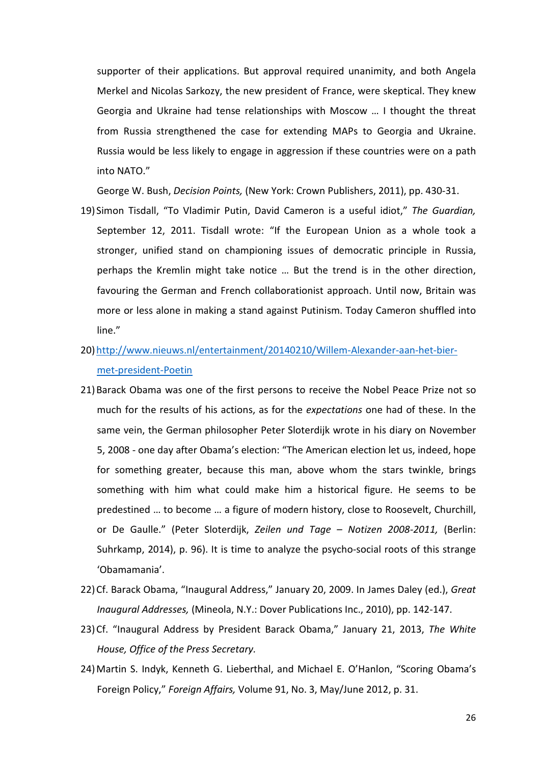supporter of their applications. But approval required unanimity, and both Angela Merkel and Nicolas Sarkozy, the new president of France, were skeptical. They knew Georgia and Ukraine had tense relationships with Moscow … I thought the threat from Russia strengthened the case for extending MAPs to Georgia and Ukraine. Russia would be less likely to engage in aggression if these countries were on a path into NATO."

George W. Bush, Decision Points, (New York: Crown Publishers, 2011), pp. 430-31.

- 19) Simon Tisdall, "To Vladimir Putin, David Cameron is a useful idiot," The Guardian, September 12, 2011. Tisdall wrote: "If the European Union as a whole took a stronger, unified stand on championing issues of democratic principle in Russia, perhaps the Kremlin might take notice … But the trend is in the other direction, favouring the German and French collaborationist approach. Until now, Britain was more or less alone in making a stand against Putinism. Today Cameron shuffled into line."
- 20) http://www.nieuws.nl/entertainment/20140210/Willem-Alexander-aan-het-biermet-president-Poetin
- 21)Barack Obama was one of the first persons to receive the Nobel Peace Prize not so much for the results of his actions, as for the *expectations* one had of these. In the same vein, the German philosopher Peter Sloterdijk wrote in his diary on November 5, 2008 - one day after Obama's election: "The American election let us, indeed, hope for something greater, because this man, above whom the stars twinkle, brings something with him what could make him a historical figure. He seems to be predestined … to become … a figure of modern history, close to Roosevelt, Churchill, or De Gaulle." (Peter Sloterdijk, Zeilen und Tage – Notizen 2008-2011, (Berlin: Suhrkamp, 2014), p. 96). It is time to analyze the psycho-social roots of this strange 'Obamamania'.
- 22) Cf. Barack Obama, "Inaugural Address," January 20, 2009. In James Daley (ed.), Great Inaugural Addresses, (Mineola, N.Y.: Dover Publications Inc., 2010), pp. 142-147.
- 23)Cf. "Inaugural Address by President Barack Obama," January 21, 2013, The White House, Office of the Press Secretary.
- 24)Martin S. Indyk, Kenneth G. Lieberthal, and Michael E. O'Hanlon, "Scoring Obama's Foreign Policy," Foreign Affairs, Volume 91, No. 3, May/June 2012, p. 31.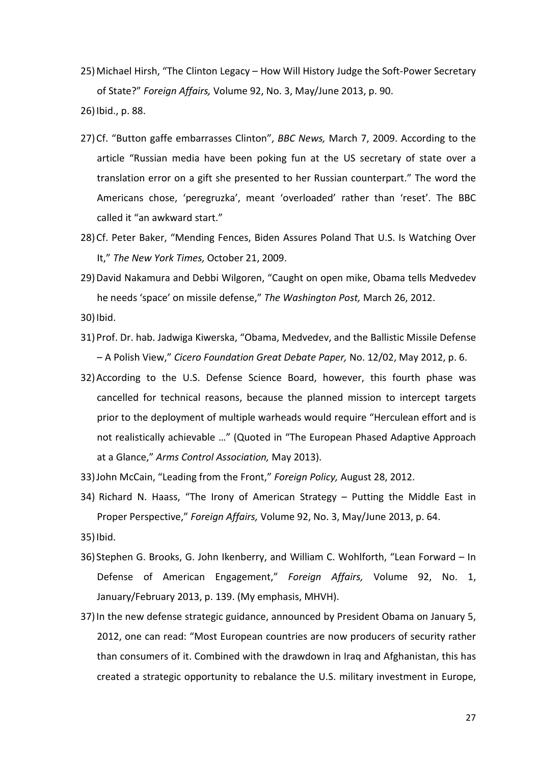25)Michael Hirsh, "The Clinton Legacy – How Will History Judge the Soft-Power Secretary of State?" Foreign Affairs, Volume 92, No. 3, May/June 2013, p. 90.

26)Ibid., p. 88.

- 27)Cf. "Button gaffe embarrasses Clinton", BBC News, March 7, 2009. According to the article "Russian media have been poking fun at the US secretary of state over a translation error on a gift she presented to her Russian counterpart." The word the Americans chose, 'peregruzka', meant 'overloaded' rather than 'reset'. The BBC called it "an awkward start."
- 28)Cf. Peter Baker, "Mending Fences, Biden Assures Poland That U.S. Is Watching Over It," The New York Times, October 21, 2009.
- 29)David Nakamura and Debbi Wilgoren, "Caught on open mike, Obama tells Medvedev he needs 'space' on missile defense," The Washington Post, March 26, 2012.

30)Ibid.

- 31)Prof. Dr. hab. Jadwiga Kiwerska, "Obama, Medvedev, and the Ballistic Missile Defense – A Polish View," Cicero Foundation Great Debate Paper, No. 12/02, May 2012, p. 6.
- 32)According to the U.S. Defense Science Board, however, this fourth phase was cancelled for technical reasons, because the planned mission to intercept targets prior to the deployment of multiple warheads would require "Herculean effort and is not realistically achievable …" (Quoted in "The European Phased Adaptive Approach at a Glance," Arms Control Association, May 2013).
- 33)John McCain, "Leading from the Front," Foreign Policy, August 28, 2012.
- 34) Richard N. Haass, "The Irony of American Strategy Putting the Middle East in Proper Perspective," Foreign Affairs, Volume 92, No. 3, May/June 2013, p. 64.
- 35)Ibid.
- 36) Stephen G. Brooks, G. John Ikenberry, and William C. Wohlforth, "Lean Forward In Defense of American Engagement," Foreign Affairs, Volume 92, No. 1, January/February 2013, p. 139. (My emphasis, MHVH).
- 37)In the new defense strategic guidance, announced by President Obama on January 5, 2012, one can read: "Most European countries are now producers of security rather than consumers of it. Combined with the drawdown in Iraq and Afghanistan, this has created a strategic opportunity to rebalance the U.S. military investment in Europe,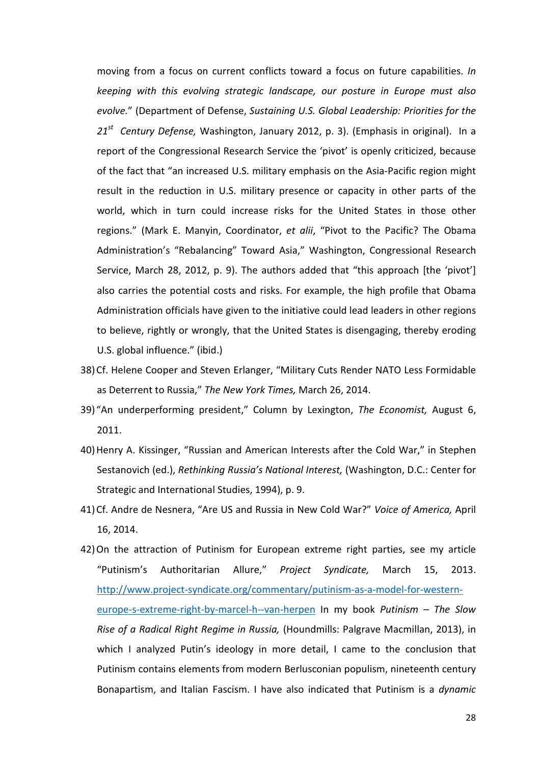moving from a focus on current conflicts toward a focus on future capabilities. In keeping with this evolving strategic landscape, our posture in Europe must also evolve." (Department of Defense, Sustaining U.S. Global Leadership: Priorities for the  $21<sup>st</sup>$  Century Defense, Washington, January 2012, p. 3). (Emphasis in original). In a report of the Congressional Research Service the 'pivot' is openly criticized, because of the fact that "an increased U.S. military emphasis on the Asia-Pacific region might result in the reduction in U.S. military presence or capacity in other parts of the world, which in turn could increase risks for the United States in those other regions." (Mark E. Manyin, Coordinator, et alii, "Pivot to the Pacific? The Obama Administration's "Rebalancing" Toward Asia," Washington, Congressional Research Service, March 28, 2012, p. 9). The authors added that "this approach [the 'pivot'] also carries the potential costs and risks. For example, the high profile that Obama Administration officials have given to the initiative could lead leaders in other regions to believe, rightly or wrongly, that the United States is disengaging, thereby eroding U.S. global influence." (ibid.)

- 38)Cf. Helene Cooper and Steven Erlanger, "Military Cuts Render NATO Less Formidable as Deterrent to Russia," The New York Times, March 26, 2014.
- 39) "An underperforming president," Column by Lexington, The Economist, August 6, 2011.
- 40)Henry A. Kissinger, "Russian and American Interests after the Cold War," in Stephen Sestanovich (ed.), Rethinking Russia's National Interest, (Washington, D.C.: Center for Strategic and International Studies, 1994), p. 9.
- 41)Cf. Andre de Nesnera, "Are US and Russia in New Cold War?" Voice of America, April 16, 2014.
- 42)On the attraction of Putinism for European extreme right parties, see my article "Putinism's Authoritarian Allure," Project Syndicate, March 15, 2013. http://www.project-syndicate.org/commentary/putinism-as-a-model-for-westerneurope-s-extreme-right-by-marcel-h--van-herpen In my book Putinism – The Slow Rise of a Radical Right Regime in Russia, (Houndmills: Palgrave Macmillan, 2013), in which I analyzed Putin's ideology in more detail, I came to the conclusion that Putinism contains elements from modern Berlusconian populism, nineteenth century Bonapartism, and Italian Fascism. I have also indicated that Putinism is a dynamic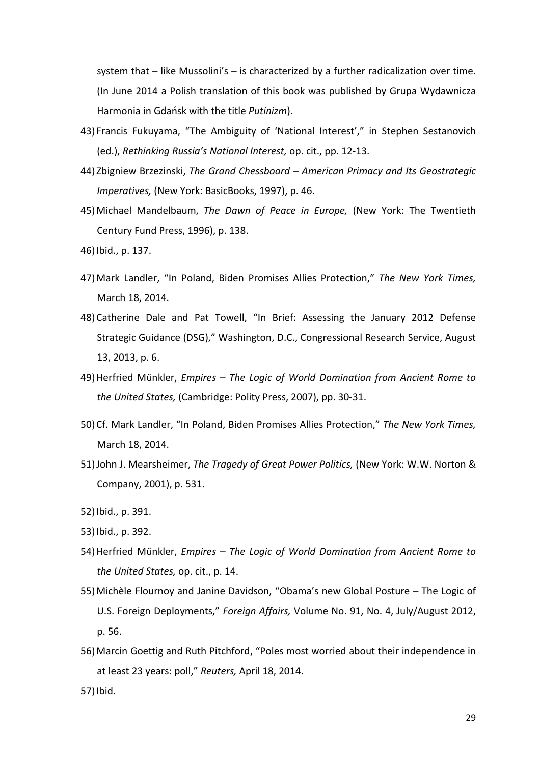system that – like Mussolini's – is characterized by a further radicalization over time. (In June 2014 a Polish translation of this book was published by Grupa Wydawnicza Harmonia in Gdańsk with the title Putinizm).

- 43) Francis Fukuyama, "The Ambiguity of 'National Interest'," in Stephen Sestanovich (ed.), Rethinking Russia's National Interest, op. cit., pp. 12-13.
- 44) Zbigniew Brzezinski, The Grand Chessboard American Primacy and Its Geostrategic Imperatives, (New York: BasicBooks, 1997), p. 46.
- 45) Michael Mandelbaum, The Dawn of Peace in Europe, (New York: The Twentieth Century Fund Press, 1996), p. 138.
- 46)Ibid., p. 137.
- 47) Mark Landler, "In Poland, Biden Promises Allies Protection," The New York Times, March 18, 2014.
- 48)Catherine Dale and Pat Towell, "In Brief: Assessing the January 2012 Defense Strategic Guidance (DSG)," Washington, D.C., Congressional Research Service, August 13, 2013, p. 6.
- 49)Herfried Münkler, Empires The Logic of World Domination from Ancient Rome to the United States, (Cambridge: Polity Press, 2007), pp. 30-31.
- 50) Cf. Mark Landler, "In Poland, Biden Promises Allies Protection," The New York Times, March 18, 2014.
- 51)John J. Mearsheimer, The Tragedy of Great Power Politics, (New York: W.W. Norton & Company, 2001), p. 531.
- 52)Ibid., p. 391.
- 53)Ibid., p. 392.
- 54) Herfried Münkler, Empires The Logic of World Domination from Ancient Rome to the United States, op. cit., p. 14.
- 55)Michèle Flournoy and Janine Davidson, "Obama's new Global Posture The Logic of U.S. Foreign Deployments," Foreign Affairs, Volume No. 91, No. 4, July/August 2012, p. 56.
- 56)Marcin Goettig and Ruth Pitchford, "Poles most worried about their independence in at least 23 years: poll," Reuters, April 18, 2014.

57) Ibid.